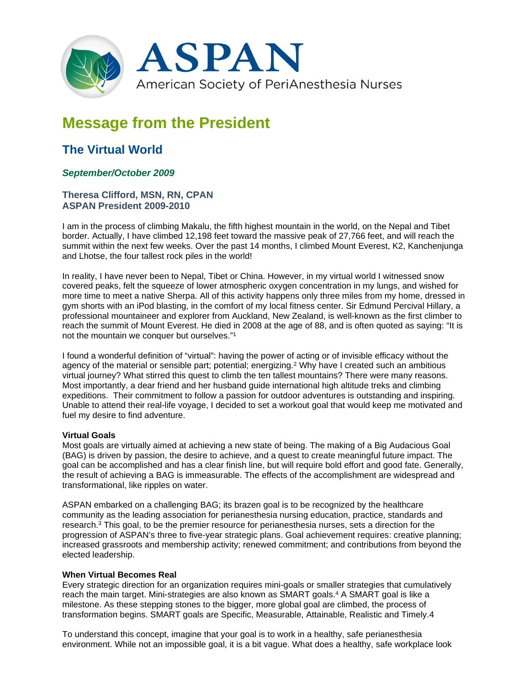

# **Message from the President**

## **The Virtual World**

### *September/October 2009*

#### **Theresa Clifford, MSN, RN, CPAN ASPAN President 2009-2010**

I am in the process of climbing Makalu, the fifth highest mountain in the world, on the Nepal and Tibet border. Actually, I have climbed 12,198 feet toward the massive peak of 27,766 feet, and will reach the summit within the next few weeks. Over the past 14 months, I climbed Mount Everest, K2, Kanchenjunga and Lhotse, the four tallest rock piles in the world!

In reality, I have never been to Nepal, Tibet or China. However, in my virtual world I witnessed snow covered peaks, felt the squeeze of lower atmospheric oxygen concentration in my lungs, and wished for more time to meet a native Sherpa. All of this activity happens only three miles from my home, dressed in gym shorts with an iPod blasting, in the comfort of my local fitness center. Sir Edmund Percival Hillary, a professional mountaineer and explorer from Auckland, New Zealand, is well-known as the first climber to reach the summit of Mount Everest. He died in 2008 at the age of 88, and is often quoted as saying: "It is not the mountain we conquer but ourselves."1

I found a wonderful definition of "virtual": having the power of acting or of invisible efficacy without the agency of the material or sensible part; potential; energizing.2 Why have I created such an ambitious virtual journey? What stirred this quest to climb the ten tallest mountains? There were many reasons. Most importantly, a dear friend and her husband guide international high altitude treks and climbing expeditions. Their commitment to follow a passion for outdoor adventures is outstanding and inspiring. Unable to attend their real-life voyage, I decided to set a workout goal that would keep me motivated and fuel my desire to find adventure.

#### **Virtual Goals**

Most goals are virtually aimed at achieving a new state of being. The making of a Big Audacious Goal (BAG) is driven by passion, the desire to achieve, and a quest to create meaningful future impact. The goal can be accomplished and has a clear finish line, but will require bold effort and good fate. Generally, the result of achieving a BAG is immeasurable. The effects of the accomplishment are widespread and transformational, like ripples on water.

ASPAN embarked on a challenging BAG; its brazen goal is to be recognized by the healthcare community as the leading association for perianesthesia nursing education, practice, standards and research.3 This goal, to be the premier resource for perianesthesia nurses, sets a direction for the progression of ASPAN's three to five-year strategic plans. Goal achievement requires: creative planning; increased grassroots and membership activity; renewed commitment; and contributions from beyond the elected leadership.

#### **When Virtual Becomes Real**

Every strategic direction for an organization requires mini-goals or smaller strategies that cumulatively reach the main target. Mini-strategies are also known as SMART goals.<sup>4</sup> A SMART goal is like a milestone. As these stepping stones to the bigger, more global goal are climbed, the process of transformation begins. SMART goals are Specific, Measurable, Attainable, Realistic and Timely.4

To understand this concept, imagine that your goal is to work in a healthy, safe perianesthesia environment. While not an impossible goal, it is a bit vague. What does a healthy, safe workplace look